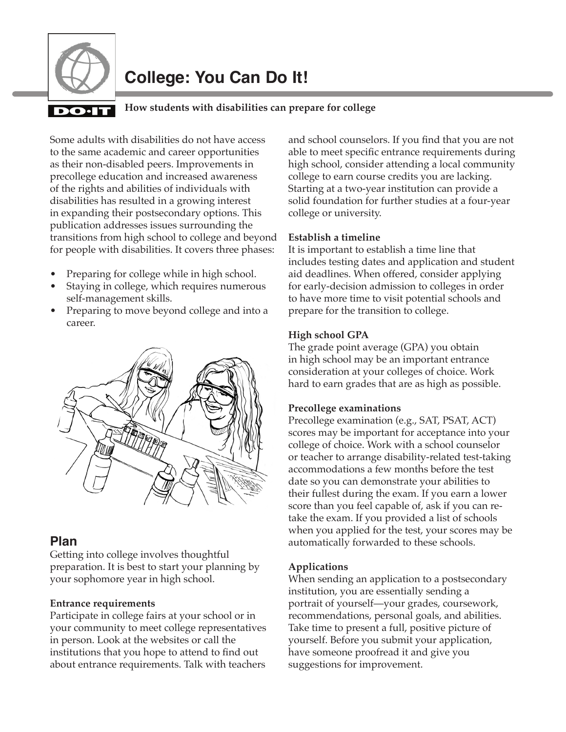

# **College: You Can Do It!**

## DO·l

### **How students with disabilities can prepare for college**

Some adults with disabilities do not have access to the same academic and career opportunities as their non-disabled peers. Improvements in precollege education and increased awareness of the rights and abilities of individuals with disabilities has resulted in a growing interest in expanding their postsecondary options. This publication addresses issues surrounding the transitions from high school to college and beyond for people with disabilities. It covers three phases:

- Preparing for college while in high school.
- Staying in college, which requires numerous self-management skills.
- Preparing to move beyond college and into a career.



## **Plan**

Getting into college involves thoughtful preparation. It is best to start your planning by your sophomore year in high school.

#### **Entrance requirements**

Participate in college fairs at your school or in your community to meet college representatives in person. Look at the websites or call the institutions that you hope to attend to find out about entrance requirements. Talk with teachers

and school counselors. If you find that you are not able to meet specific entrance requirements during high school, consider attending a local community college to earn course credits you are lacking. Starting at a two-year institution can provide a solid foundation for further studies at a four-year college or university.

#### **Establish a timeline**

It is important to establish a time line that includes testing dates and application and student aid deadlines. When offered, consider applying for early-decision admission to colleges in order to have more time to visit potential schools and prepare for the transition to college.

#### **High school GPA**

The grade point average (GPA) you obtain in high school may be an important entrance consideration at your colleges of choice. Work hard to earn grades that are as high as possible.

#### **Precollege examinations**

Precollege examination (e.g., SAT, PSAT, ACT) scores may be important for acceptance into your college of choice. Work with a school counselor or teacher to arrange disability-related test-taking accommodations a few months before the test date so you can demonstrate your abilities to their fullest during the exam. If you earn a lower score than you feel capable of, ask if you can retake the exam. If you provided a list of schools when you applied for the test, your scores may be automatically forwarded to these schools.

#### **Applications**

When sending an application to a postsecondary institution, you are essentially sending a portrait of yourself—your grades, coursework, recommendations, personal goals, and abilities. Take time to present a full, positive picture of yourself. Before you submit your application, have someone proofread it and give you suggestions for improvement.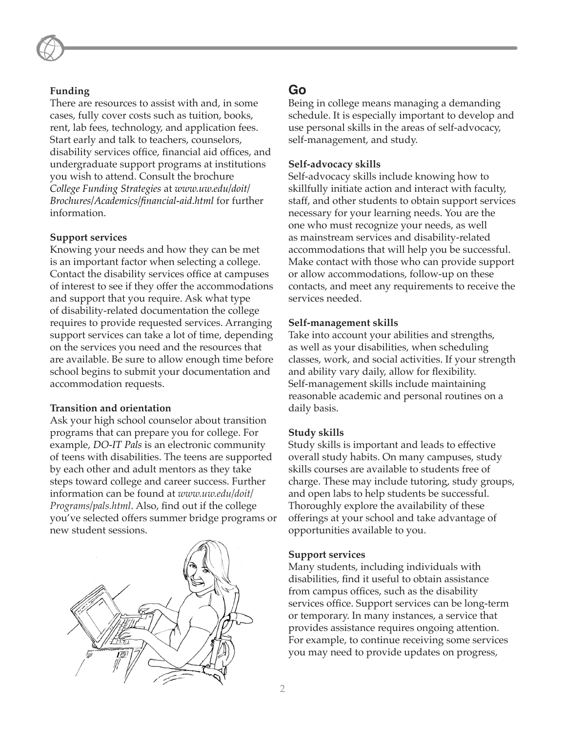#### **Funding**

There are resources to assist with and, in some cases, fully cover costs such as tuition, books, rent, lab fees, technology, and application fees. Start early and talk to teachers, counselors, disability services office, financial aid offices, and undergraduate support programs at institutions you wish to attend. Consult the brochure *College Funding Strategies* at *[www.uw.edu/doit/](http://www.uw.edu/doit/Brochures/Academics/financial-aid.html) [Brochures/Academics/financial-aid.html](http://www.uw.edu/doit/Brochures/Academics/financial-aid.html)* for further information.

#### **Support services**

Knowing your needs and how they can be met is an important factor when selecting a college. Contact the disability services office at campuses of interest to see if they offer the accommodations and support that you require. Ask what type of disability-related documentation the college requires to provide requested services. Arranging support services can take a lot of time, depending on the services you need and the resources that are available. Be sure to allow enough time before school begins to submit your documentation and accommodation requests.

#### **Transition and orientation**

Ask your high school counselor about transition programs that can prepare you for college. For example, *DO‑IT Pals* is an electronic community of teens with disabilities. The teens are supported by each other and adult mentors as they take steps toward college and career success. Further information can be found at *[www.uw.edu/doit/](http://www.washington.edu/doit/Programs/pals.html) [Programs/pals.html](http://www.washington.edu/doit/Programs/pals.html)*. Also, find out if the college you've selected offers summer bridge programs or new student sessions.



## **Go**

Being in college means managing a demanding schedule. It is especially important to develop and use personal skills in the areas of self-advocacy, self-management, and study.

#### **Self-advocacy skills**

Self-advocacy skills include knowing how to skillfully initiate action and interact with faculty, staff, and other students to obtain support services necessary for your learning needs. You are the one who must recognize your needs, as well as mainstream services and disability-related accommodations that will help you be successful. Make contact with those who can provide support or allow accommodations, follow-up on these contacts, and meet any requirements to receive the services needed.

#### **Self-management skills**

Take into account your abilities and strengths, as well as your disabilities, when scheduling classes, work, and social activities. If your strength and ability vary daily, allow for flexibility. Self-management skills include maintaining reasonable academic and personal routines on a daily basis.

#### **Study skills**

Study skills is important and leads to effective overall study habits. On many campuses, study skills courses are available to students free of charge. These may include tutoring, study groups, and open labs to help students be successful. Thoroughly explore the availability of these offerings at your school and take advantage of opportunities available to you.

#### **Support services**

Many students, including individuals with disabilities, find it useful to obtain assistance from campus offices, such as the disability services office. Support services can be long-term or temporary. In many instances, a service that provides assistance requires ongoing attention. For example, to continue receiving some services you may need to provide updates on progress,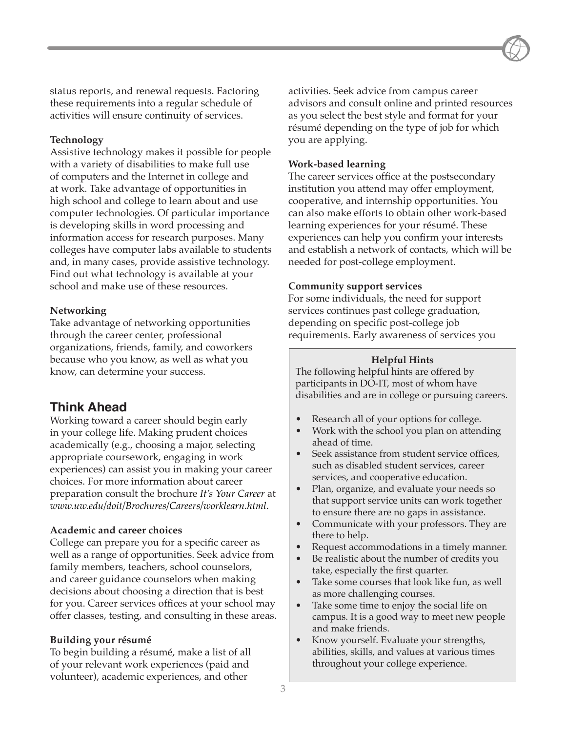status reports, and renewal requests. Factoring these requirements into a regular schedule of activities will ensure continuity of services.

#### **Technology**

Assistive technology makes it possible for people with a variety of disabilities to make full use of computers and the Internet in college and at work. Take advantage of opportunities in high school and college to learn about and use computer technologies. Of particular importance is developing skills in word processing and information access for research purposes. Many colleges have computer labs available to students and, in many cases, provide assistive technology. Find out what technology is available at your school and make use of these resources.

#### **Networking**

Take advantage of networking opportunities through the career center, professional organizations, friends, family, and coworkers because who you know, as well as what you know, can determine your success.

## **Think Ahead**

Working toward a career should begin early in your college life. Making prudent choices academically (e.g., choosing a major, selecting appropriate coursework, engaging in work experiences) can assist you in making your career choices. For more information about career preparation consult the brochure *It's Your Career* at *www.uw.edu/doit/Brochures/Careers/worklearn.html*.

#### **Academic and career choices**

College can prepare you for a specific career as well as a range of opportunities. Seek advice from family members, teachers, school counselors, and career guidance counselors when making decisions about choosing a direction that is best for you. Career services offices at your school may offer classes, testing, and consulting in these areas.

#### **Building your résumé**

To begin building a résumé, make a list of all of your relevant work experiences (paid and volunteer), academic experiences, and other

activities. Seek advice from campus career advisors and consult online and printed resources as you select the best style and format for your résumé depending on the type of job for which you are applying.

#### **Work-based learning**

The career services office at the postsecondary institution you attend may offer employment, cooperative, and internship opportunities. You can also make efforts to obtain other work-based learning experiences for your résumé. These experiences can help you confirm your interests and establish a network of contacts, which will be needed for post-college employment.

#### **Community support services**

For some individuals, the need for support services continues past college graduation, depending on specific post-college job requirements. Early awareness of services you

#### **Helpful Hints**

The following helpful hints are offered by participants in DO-IT, most of whom have disabilities and are in college or pursuing careers.

- Research all of your options for college.
- Work with the school you plan on attending ahead of time.
- Seek assistance from student service offices, such as disabled student services, career services, and cooperative education.
- Plan, organize, and evaluate your needs so that support service units can work together to ensure there are no gaps in assistance.
- Communicate with your professors. They are there to help.
- Request accommodations in a timely manner.
- Be realistic about the number of credits you take, especially the first quarter.
- Take some courses that look like fun, as well as more challenging courses.
- Take some time to enjoy the social life on campus. It is a good way to meet new people and make friends.
- Know yourself. Evaluate your strengths, abilities, skills, and values at various times throughout your college experience.